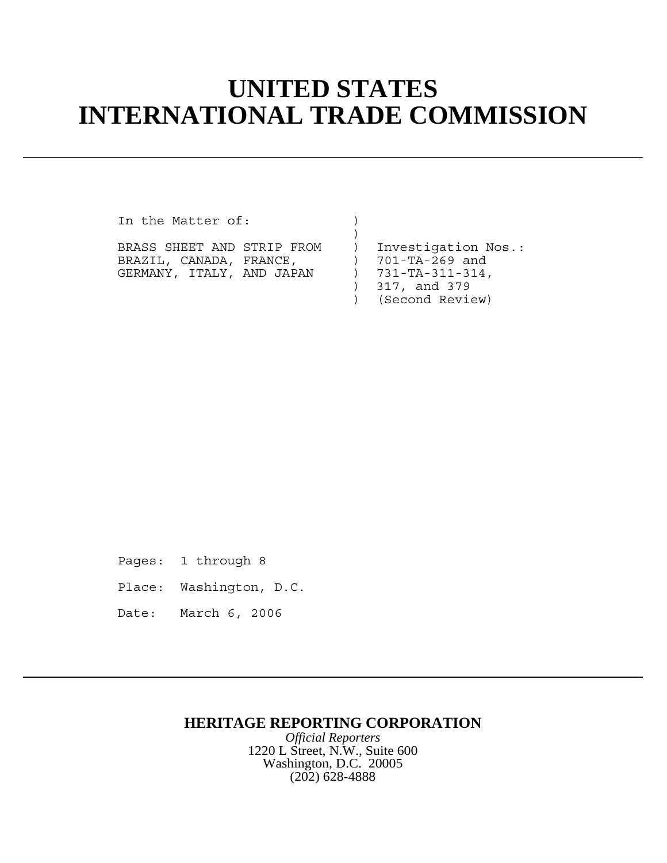## **UNITED STATES INTERNATIONAL TRADE COMMISSION**

)

In the Matter of:  $)$ 

| BRASS SHEET AND STRIP FROM |  | Investigation Nos.:        |
|----------------------------|--|----------------------------|
| BRAZIL, CANADA, FRANCE,    |  | ) 701-TA-269 and           |
| GERMANY, ITALY, AND JAPAN  |  | $) 731 - TA - 311 - 314$ , |
|                            |  | $)$ 317, and 379           |

) (Second Review)

Pages: 1 through 8

Place: Washington, D.C.

Date: March 6, 2006

## **HERITAGE REPORTING CORPORATION**

*Official Reporters* 1220 L Street, N.W., Suite 600 Washington, D.C. 20005 (202) 628-4888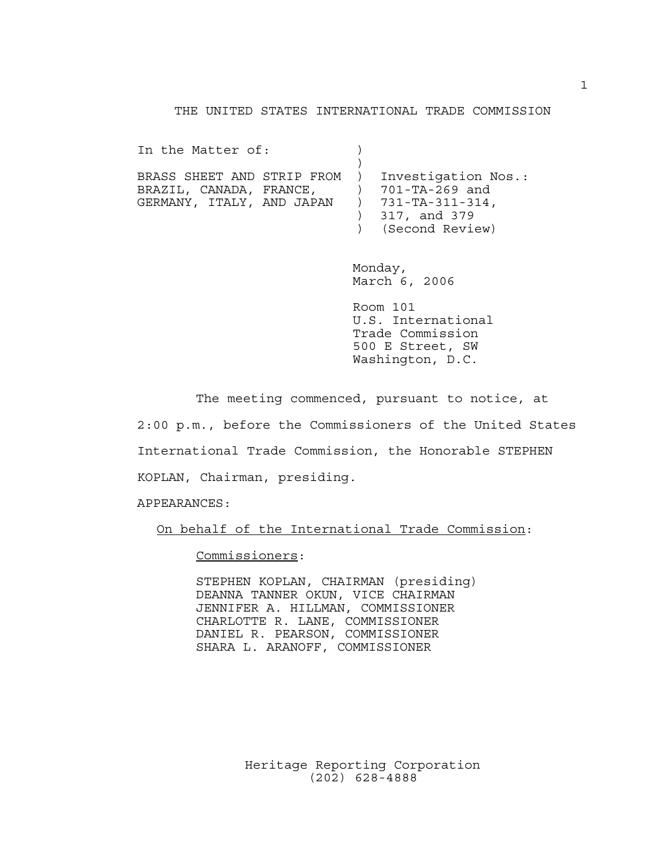## THE UNITED STATES INTERNATIONAL TRADE COMMISSION

In the Matter of:  $)$  $)$ BRASS SHEET AND STRIP FROM ) Investigation Nos.: BRAZIL, CANADA, FRANCE,  $701-TA-269$  and GERMANY, ITALY, AND JAPAN ) 731-TA-311-314, ) 317, and 379 ) (Second Review)

> Monday, March 6, 2006

Room 101 U.S. International Trade Commission 500 E Street, SW Washington, D.C.

The meeting commenced, pursuant to notice, at 2:00 p.m., before the Commissioners of the United States International Trade Commission, the Honorable STEPHEN KOPLAN, Chairman, presiding.

APPEARANCES:

On behalf of the International Trade Commission:

Commissioners:

STEPHEN KOPLAN, CHAIRMAN (presiding) DEANNA TANNER OKUN, VICE CHAIRMAN JENNIFER A. HILLMAN, COMMISSIONER CHARLOTTE R. LANE, COMMISSIONER DANIEL R. PEARSON, COMMISSIONER SHARA L. ARANOFF, COMMISSIONER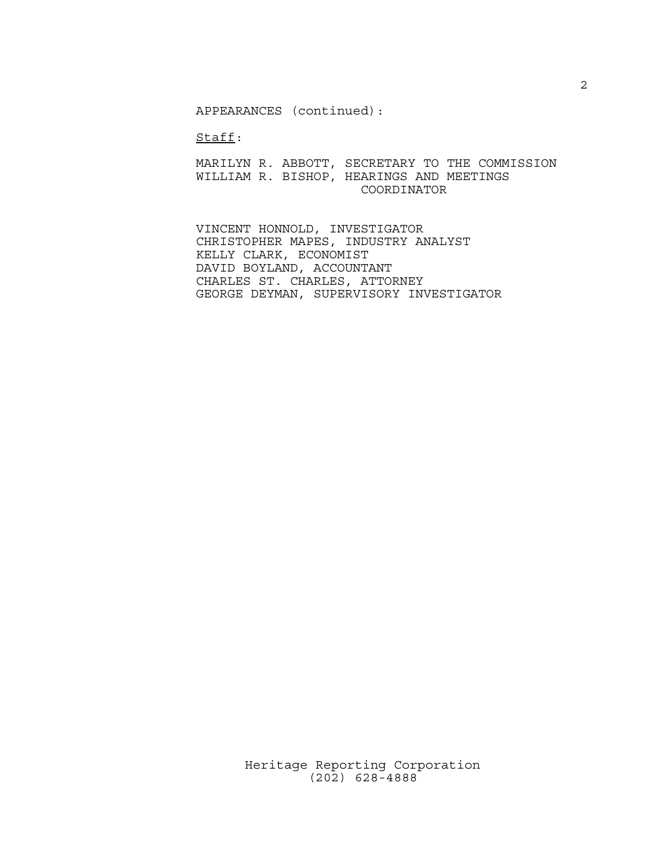APPEARANCES (continued):

Staff:

MARILYN R. ABBOTT, SECRETARY TO THE COMMISSION WILLIAM R. BISHOP, HEARINGS AND MEETINGS COORDINATOR

VINCENT HONNOLD, INVESTIGATOR CHRISTOPHER MAPES, INDUSTRY ANALYST KELLY CLARK, ECONOMIST DAVID BOYLAND, ACCOUNTANT CHARLES ST. CHARLES, ATTORNEY GEORGE DEYMAN, SUPERVISORY INVESTIGATOR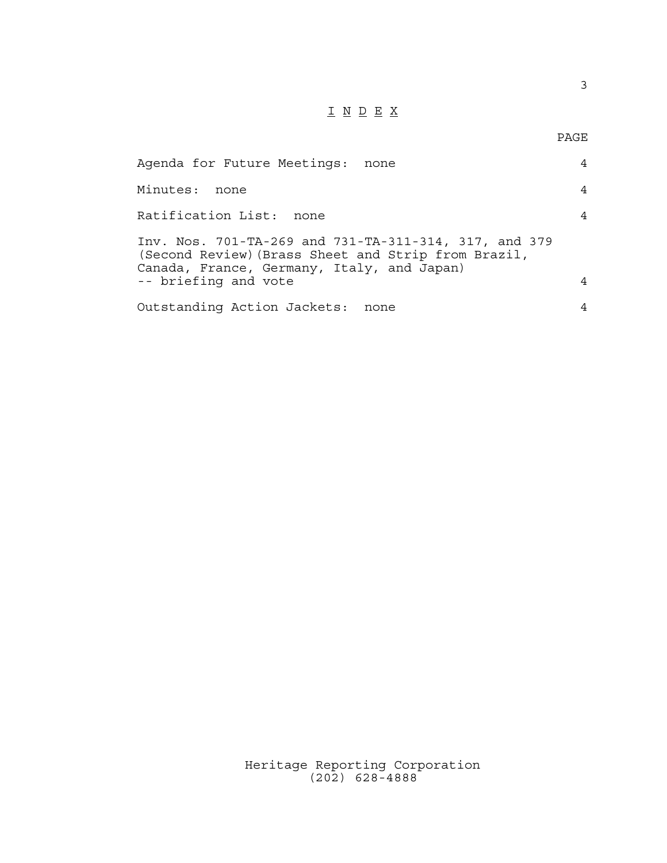## $\underline{\texttt{I}} \underline{\texttt{N}} \underline{\texttt{D}} \underline{\texttt{E}} \underline{\texttt{X}}$

PAGE

3

| Agenda for Future Meetings: none                                                                                                                           | 4 |
|------------------------------------------------------------------------------------------------------------------------------------------------------------|---|
| Minutes: none                                                                                                                                              | 4 |
| Ratification List: none                                                                                                                                    | 4 |
| Inv. Nos. 701-TA-269 and 731-TA-311-314, 317, and 379<br>(Second Review) (Brass Sheet and Strip from Brazil,<br>Canada, France, Germany, Italy, and Japan) |   |
| -- briefing and vote                                                                                                                                       | 4 |
| Outstanding Action Jackets: none                                                                                                                           | 4 |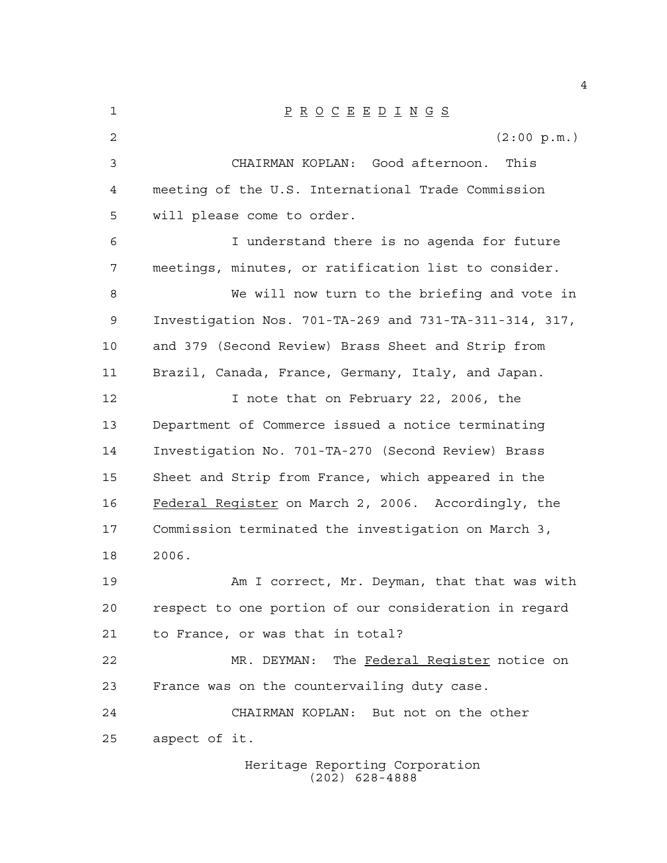| 1  | $\underline{P} \underline{R} \underline{O} \underline{C} \underline{E} \underline{E} \underline{D} \underline{I} \underline{N} \underline{G} \underline{S}$ |
|----|-------------------------------------------------------------------------------------------------------------------------------------------------------------|
| 2  | (2:00 p.m.)                                                                                                                                                 |
| 3  | CHAIRMAN KOPLAN: Good afternoon.<br>This                                                                                                                    |
| 4  | meeting of the U.S. International Trade Commission                                                                                                          |
| 5  | will please come to order.                                                                                                                                  |
| 6  | I understand there is no agenda for future                                                                                                                  |
| 7  | meetings, minutes, or ratification list to consider.                                                                                                        |
| 8  | We will now turn to the briefing and vote in                                                                                                                |
| 9  | Investigation Nos. 701-TA-269 and 731-TA-311-314, 317,                                                                                                      |
| 10 | and 379 (Second Review) Brass Sheet and Strip from                                                                                                          |
| 11 | Brazil, Canada, France, Germany, Italy, and Japan.                                                                                                          |
| 12 | I note that on February 22, 2006, the                                                                                                                       |
| 13 | Department of Commerce issued a notice terminating                                                                                                          |
| 14 | Investigation No. 701-TA-270 (Second Review) Brass                                                                                                          |
| 15 | Sheet and Strip from France, which appeared in the                                                                                                          |
| 16 | Federal Register on March 2, 2006. Accordingly, the                                                                                                         |
| 17 | Commission terminated the investigation on March 3,                                                                                                         |
| 18 | 2006.                                                                                                                                                       |
| 19 | Am I correct, Mr. Deyman, that that was with                                                                                                                |
| 20 | respect to one portion of our consideration in regard                                                                                                       |
| 21 | to France, or was that in total?                                                                                                                            |
| 22 | MR. DEYMAN: The Federal Register notice on                                                                                                                  |
| 23 | France was on the countervailing duty case.                                                                                                                 |
| 24 | CHAIRMAN KOPLAN: But not on the other                                                                                                                       |
| 25 | aspect of it.                                                                                                                                               |
|    | Heritage Reporting Corporation                                                                                                                              |

(202) 628-4888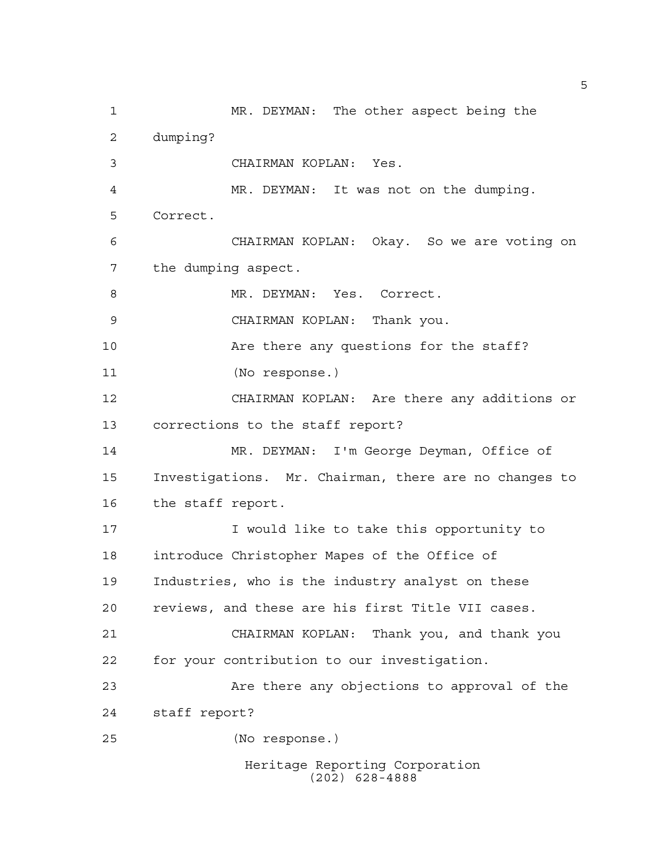Heritage Reporting Corporation (202) 628-4888 MR. DEYMAN: The other aspect being the dumping? CHAIRMAN KOPLAN: Yes. MR. DEYMAN: It was not on the dumping. Correct. CHAIRMAN KOPLAN: Okay. So we are voting on the dumping aspect. 8 MR. DEYMAN: Yes. Correct. CHAIRMAN KOPLAN: Thank you. Are there any questions for the staff? (No response.) CHAIRMAN KOPLAN: Are there any additions or corrections to the staff report? MR. DEYMAN: I'm George Deyman, Office of Investigations. Mr. Chairman, there are no changes to the staff report. 17 T would like to take this opportunity to introduce Christopher Mapes of the Office of Industries, who is the industry analyst on these reviews, and these are his first Title VII cases. CHAIRMAN KOPLAN: Thank you, and thank you for your contribution to our investigation. Are there any objections to approval of the staff report? (No response.)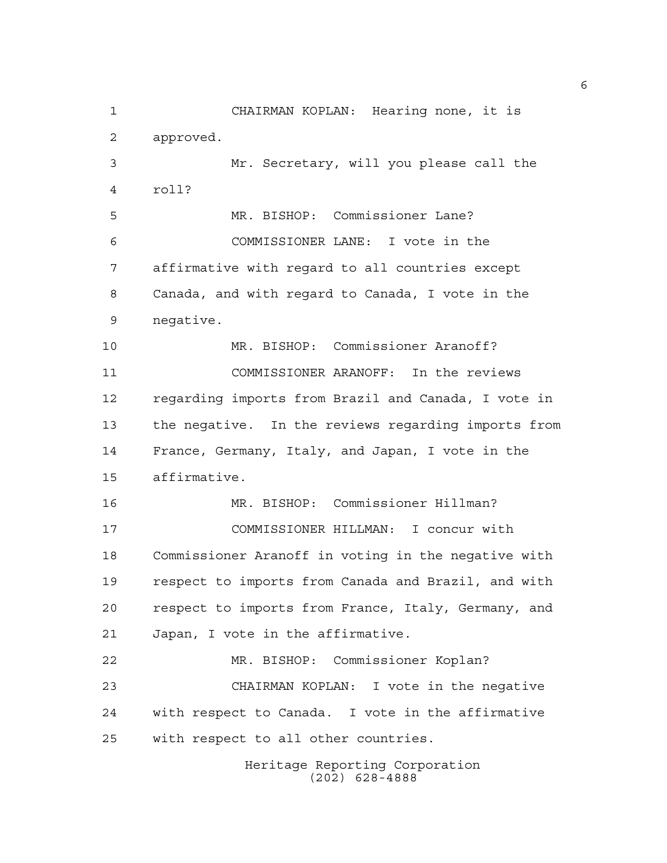Heritage Reporting Corporation CHAIRMAN KOPLAN: Hearing none, it is approved. Mr. Secretary, will you please call the roll? MR. BISHOP: Commissioner Lane? COMMISSIONER LANE: I vote in the affirmative with regard to all countries except Canada, and with regard to Canada, I vote in the negative. MR. BISHOP: Commissioner Aranoff? COMMISSIONER ARANOFF: In the reviews regarding imports from Brazil and Canada, I vote in the negative. In the reviews regarding imports from France, Germany, Italy, and Japan, I vote in the affirmative. MR. BISHOP: Commissioner Hillman? COMMISSIONER HILLMAN: I concur with Commissioner Aranoff in voting in the negative with respect to imports from Canada and Brazil, and with respect to imports from France, Italy, Germany, and Japan, I vote in the affirmative. MR. BISHOP: Commissioner Koplan? CHAIRMAN KOPLAN: I vote in the negative with respect to Canada. I vote in the affirmative with respect to all other countries.

(202) 628-4888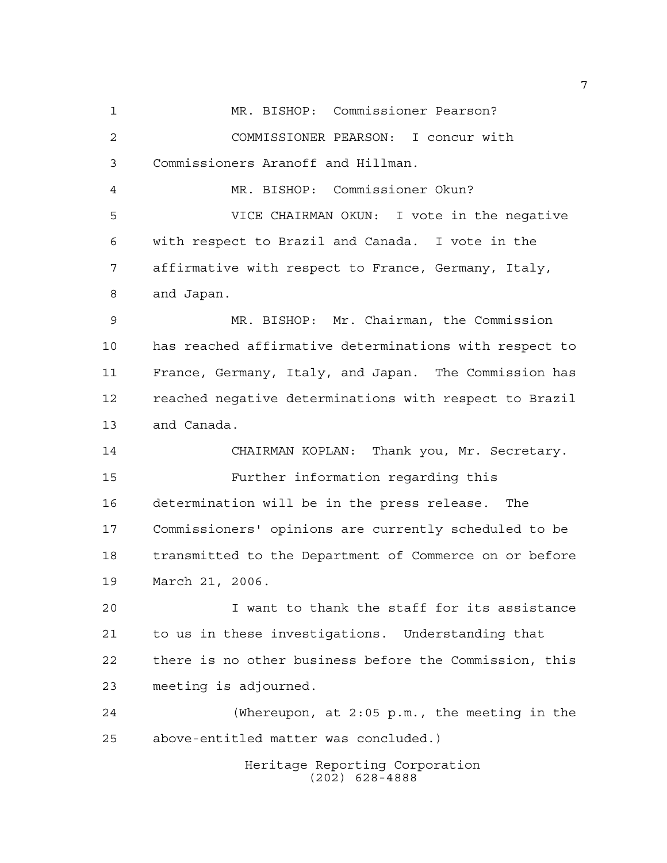Heritage Reporting Corporation (202) 628-4888 MR. BISHOP: Commissioner Pearson? COMMISSIONER PEARSON: I concur with Commissioners Aranoff and Hillman. MR. BISHOP: Commissioner Okun? VICE CHAIRMAN OKUN: I vote in the negative with respect to Brazil and Canada. I vote in the affirmative with respect to France, Germany, Italy, and Japan. MR. BISHOP: Mr. Chairman, the Commission has reached affirmative determinations with respect to France, Germany, Italy, and Japan. The Commission has reached negative determinations with respect to Brazil and Canada. CHAIRMAN KOPLAN: Thank you, Mr. Secretary. Further information regarding this determination will be in the press release. The Commissioners' opinions are currently scheduled to be transmitted to the Department of Commerce on or before March 21, 2006. I want to thank the staff for its assistance to us in these investigations. Understanding that there is no other business before the Commission, this meeting is adjourned. (Whereupon, at 2:05 p.m., the meeting in the above-entitled matter was concluded.)